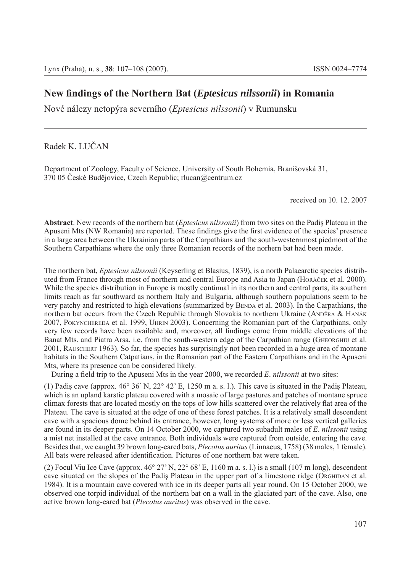## **New fi ndings of the Northern Bat (***Eptesicus nilssonii***) in Romania**

Nové nálezy netopýra severního (*Eptesicus nilssonii*) v Rumunsku

Radek K. LUČAN

Department of Zoology, Faculty of Science, University of South Bohemia, Branišovská 31, 370 05 České Budějovice, Czech Republic; rlucan@centrum.cz

received on 10. 12. 2007

**Abstract**. New records of the northern bat (*Eptesicus nilssonii*) from two sites on the Padiş Plateau in the Apuseni Mts (NW Romania) are reported. These findings give the first evidence of the species' presence in a large area between the Ukrainian parts of the Carpathians and the south-westernmost piedmont of the Southern Carpathians where the only three Romanian records of the norhern bat had been made.

The northern bat, *Eptesicus nilssonii* (Keyserling et Blasius, 1839), is a north Palaearctic species distributed from France through most of northern and central Europe and Asia to Japan (HORÁČEK et al. 2000). While the species distribution in Europe is mostly continual in its northern and central parts, its southern limits reach as far southward as northern Italy and Bulgaria, although southern populations seem to be very patchy and restricted to high elevations (summarized by BENDA et al. 2003). In the Carpathians, the northern bat occurs from the Czech Republic through Slovakia to northern Ukraine (ANDĚRA & HANÁK 2007, POKYNCHEREDA et al. 1999, UHRIN 2003). Concerning the Romanian part of the Carpathians, only very few records have been available and, moreover, all findings come from middle elevations of the Banat Mts. and Piatra Arsa, i.e. from the south-western edge of the Carpathian range (GHEORGHIU et al. 2001, RAUSCHERT 1963). So far, the species has surprisingly not been recorded in a huge area of montane habitats in the Southern Catpatians, in the Romanian part of the Eastern Carpathians and in the Apuseni Mts, where its presence can be considered likely.

During a field trip to the Apuseni Mts in the year 2000, we recorded *E. nilssonii* at two sites:

(1) Padiş cave (approx. 46° 36' N, 22° 42' E, 1250 m a. s. l.). This cave is situated in the Padiş Plateau, which is an upland karstic plateau covered with a mosaic of large pastures and patches of montane spruce climax forests that are located mostly on the tops of low hills scattered over the relatively flat area of the Plateau. The cave is situated at the edge of one of these forest patches. It is a relatively small descendent cave with a spacious dome behind its entrance, however, long systems of more or less vertical galleries are found in its deeper parts. On 14 October 2000, we captured two subadult males of *E*. *nilssonii* using a mist net installed at the cave entrance. Both individuals were captured from outside, entering the cave. Besides that, we caught 39 brown long-eared bats, *Plecotus auritus* (Linnaeus, 1758) (38 males, 1 female). All bats were released after identification. Pictures of one northern bat were taken.

(2) Focul Viu Ice Cave (approx.  $46^{\circ}$  27' N,  $22^{\circ}$  68' E, 1160 m a. s. l.) is a small (107 m long), descendent cave situated on the slopes of the Padiş Plateau in the upper part of a limestone ridge (ORGHIDAN et al. 1984). It is a mountain cave covered with ice in its deeper parts all year round. On 15 October 2000, we observed one torpid individual of the northern bat on a wall in the glaciated part of the cave. Also, one active brown long-eared bat (*Plecotus auritus*) was observed in the cave.